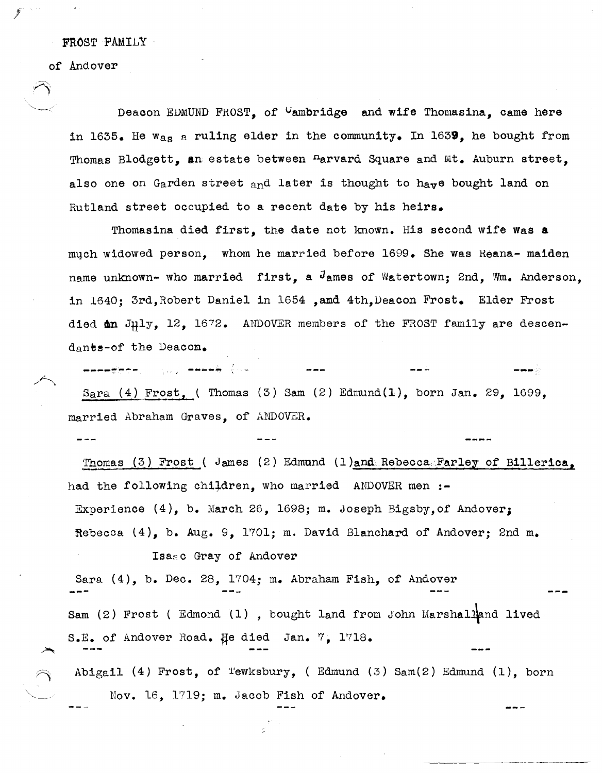FROST PAMILY

of Andover

 $- - -$ 

 $\sim$   $\gamma$ 

f

Deacon EDMUND FROST, of <sup>C</sup>ambridge and wife Thomasina, came here in 1635. He w<sub>as</sub> a ruling elder in the community. In 1639, he bought from Thomas Blodgett, an estate between <sup>n</sup>arvard Square and Mt. Auburn street. also one on Garden street and later is thought to have bought land on Rutland street occupied to a recent date by his heirs.

Thomasina died first, tne date not known. His second wife Was a much widowed person, whom he married before 1699. She was Reana- maiden name unknown- who married first, a  $J$ ames of Watertown; 2nd, Wm. Anderson, in 1640; 3rd,Robert Daniel in 1654 ,amd 4th, Deacon Frost. Elder Frost died **an** July, 12, 1672. ANDOVER members of the FROST family are descendants-of the Deacon.

... ---~--- -.. -.. ~ **-"-,**  Sara (4) Frost, ( Thomas (3) Sam (2) Edmund(1), born Jan. 29, 1699, married Abraham Graves, of AIIDOVER.

Thomas (3) Frost ( James (2) Edmund (1)and Rebecca. Farley of Billerica, had the following children, who married ANDOVER men :-Experience (4), b. March 26, 1698; m. Joseph Bigsby,of Andover; Rebecca (4), b. Aug. 9, 1701; m. David Blanchard of Andover; 2nd m.

Isa<sub>8</sub>c Gray of Andover Sara  $(4)$ , b. Dec. 28, 1704; m. Abraham Fish, of Andover **---** Sam (2) Frost ( Edmond (1), bought land from John Marshalland lived S.E. of Andover Road. He died Jan. 7, 1718. Abigail (4) Frost, of Tewksbury, (Edmund (3) Sam(2) Edmund  $(1)$ , born

Nov. 16, 1719; m. Jacob Fish of Andover.